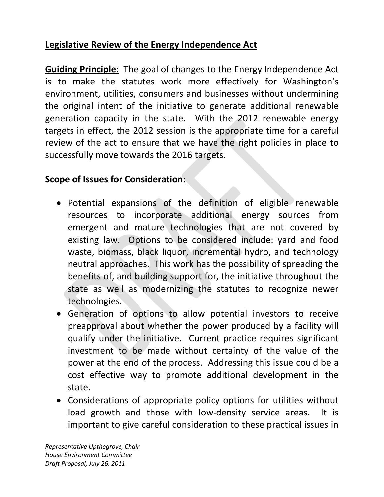## **Legislative Review of the Energy Independence Act**

**Guiding Principle:** The goal of changes to the Energy Independence Act is to make the statutes work more effectively for Washington's environment, utilities, consumers and businesses without undermining the original intent of the initiative to generate additional renewable generation capacity in the state. With the 2012 renewable energy targets in effect, the 2012 session is the appropriate time for a careful review of the act to ensure that we have the right policies in place to successfully move towards the 2016 targets.

## **Scope of Issues for Consideration:**

- Potential expansions of the definition of eligible renewable resources to incorporate additional energy sources from emergent and mature technologies that are not covered by existing law. Options to be considered include: yard and food waste, biomass, black liquor, incremental hydro, and technology neutral approaches. This work has the possibility of spreading the benefits of, and building support for, the initiative throughout the state as well as modernizing the statutes to recognize newer technologies.
- ! Generation of options to allow potential investors to receive preapproval about whether the power produced by a facility will qualify under the initiative. Current practice requires significant investment to be made without certainty of the value of the power at the end of the process. Addressing this issue could be a cost effective way to promote additional development in the state.
- Considerations of appropriate policy options for utilities without load growth and those with low-density service areas. It is important to give careful consideration to these practical issues in

*Representative Upthegrove, Chair House Environment Committee Draft Proposal, July 26, 2011*